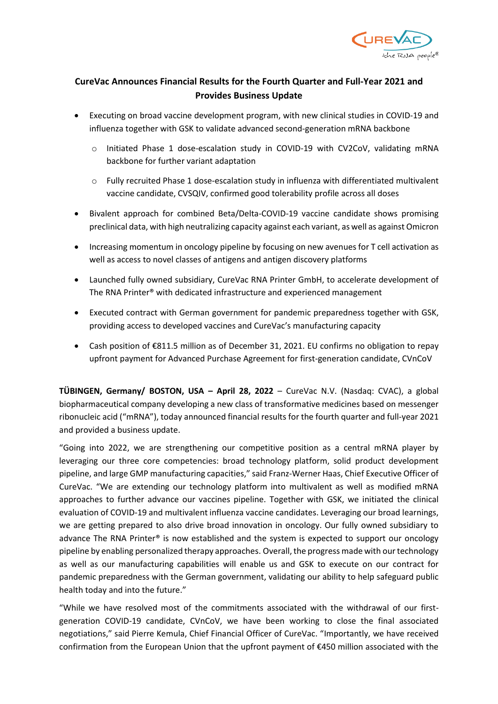

# **CureVac Announces Financial Results for the Fourth Quarter and Full-Year 2021 and Provides Business Update**

- Executing on broad vaccine development program, with new clinical studies in COVID-19 and influenza together with GSK to validate advanced second-generation mRNA backbone
	- o Initiated Phase 1 dose-escalation study in COVID-19 with CV2CoV, validating mRNA backbone for further variant adaptation
	- o Fully recruited Phase 1 dose-escalation study in influenza with differentiated multivalent vaccine candidate, CVSQIV, confirmed good tolerability profile across all doses
- Bivalent approach for combined Beta/Delta-COVID-19 vaccine candidate shows promising preclinical data, with high neutralizing capacity against each variant, as well as against Omicron
- Increasing momentum in oncology pipeline by focusing on new avenues for T cell activation as well as access to novel classes of antigens and antigen discovery platforms
- Launched fully owned subsidiary, CureVac RNA Printer GmbH, to accelerate development of The RNA Printer® with dedicated infrastructure and experienced management
- Executed contract with German government for pandemic preparedness together with GSK, providing access to developed vaccines and CureVac's manufacturing capacity
- Cash position of €811.5 million as of December 31, 2021. EU confirms no obligation to repay upfront payment for Advanced Purchase Agreement for first-generation candidate, CVnCoV

**TÜBINGEN, Germany/ BOSTON, USA – April 28, 2022** – CureVac N.V. (Nasdaq: CVAC), a global biopharmaceutical company developing a new class of transformative medicines based on messenger ribonucleic acid ("mRNA"), today announced financial results for the fourth quarter and full-year 2021 and provided a business update.

"Going into 2022, we are strengthening our competitive position as a central mRNA player by leveraging our three core competencies: broad technology platform, solid product development pipeline, and large GMP manufacturing capacities," said Franz-Werner Haas, Chief Executive Officer of CureVac. "We are extending our technology platform into multivalent as well as modified mRNA approaches to further advance our vaccines pipeline. Together with GSK, we initiated the clinical evaluation of COVID-19 and multivalent influenza vaccine candidates. Leveraging our broad learnings, we are getting prepared to also drive broad innovation in oncology. Our fully owned subsidiary to advance The RNA Printer® is now established and the system is expected to support our oncology pipeline by enabling personalized therapy approaches. Overall, the progress made with our technology as well as our manufacturing capabilities will enable us and GSK to execute on our contract for pandemic preparedness with the German government, validating our ability to help safeguard public health today and into the future."

"While we have resolved most of the commitments associated with the withdrawal of our firstgeneration COVID-19 candidate, CVnCoV, we have been working to close the final associated negotiations," said Pierre Kemula, Chief Financial Officer of CureVac. "Importantly, we have received confirmation from the European Union that the upfront payment of €450 million associated with the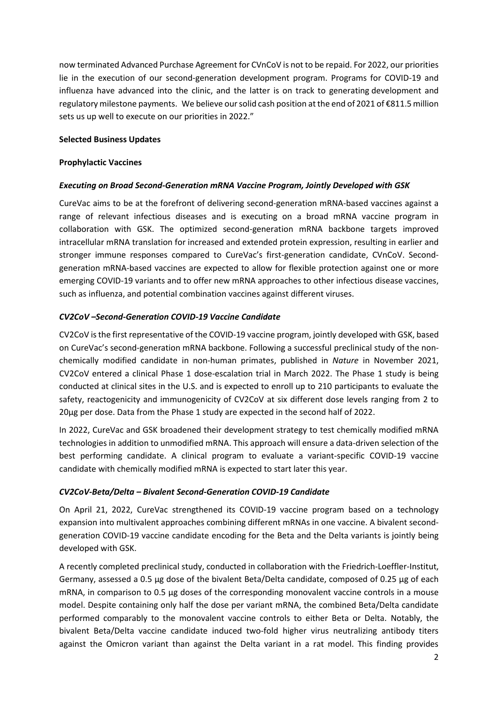now terminated Advanced Purchase Agreement for CVnCoV is not to be repaid. For 2022, our priorities lie in the execution of our second-generation development program. Programs for COVID-19 and influenza have advanced into the clinic, and the latter is on track to generating development and regulatory milestone payments. We believe our solid cash position at the end of 2021 of €811.5 million sets us up well to execute on our priorities in 2022."

### **Selected Business Updates**

### **Prophylactic Vaccines**

## *Executing on Broad Second-Generation mRNA Vaccine Program, Jointly Developed with GSK*

CureVac aims to be at the forefront of delivering second-generation mRNA-based vaccines against a range of relevant infectious diseases and is executing on a broad mRNA vaccine program in collaboration with GSK. The optimized second-generation mRNA backbone targets improved intracellular mRNA translation for increased and extended protein expression, resulting in earlier and stronger immune responses compared to CureVac's first-generation candidate, CVnCoV. Secondgeneration mRNA-based vaccines are expected to allow for flexible protection against one or more emerging COVID-19 variants and to offer new mRNA approaches to other infectious disease vaccines, such as influenza, and potential combination vaccines against different viruses.

## *CV2CoV –Second-Generation COVID-19 Vaccine Candidate*

CV2CoV is the first representative of the COVID-19 vaccine program, jointly developed with GSK, based on CureVac's second-generation mRNA backbone. Following a successful preclinical study of the nonchemically modified candidate in non-human primates, published in *[Nature](https://www.curevac.com/en/2021/11/18/curevac-publishes-in-nature-preclinical-data-of-second-generation-covid-19-candidate-cv2cov-demonstrating-comparable-antibody-levels-to-licensed-mrna-vaccine/)* in November 2021, CV2CoV entered a clinical Phase 1 dose-escalation trial in March 2022. The Phase 1 study is being conducted at clinical sites in the U.S. and is expected to enroll up to 210 participants to evaluate the safety, reactogenicity and immunogenicity of CV2CoV at six different dose levels ranging from 2 to 20µg per dose. Data from the Phase 1 study are expected in the second half of 2022.

In 2022, CureVac and GSK broadened their development strategy to test chemically modified mRNA technologies in addition to unmodified mRNA. This approach will ensure a data-driven selection of the best performing candidate. A clinical program to evaluate a variant-specific COVID-19 vaccine candidate with chemically modified mRNA is expected to start later this year.

## *CV2CoV-Beta/Delta – Bivalent Second-Generation COVID-19 Candidate*

On April 21, 2022, CureVac strengthened its COVID-19 vaccine program based on a technology expansion into multivalent approaches combining different mRNAs in one vaccine. A bivalent secondgeneration COVID-19 vaccine candidate encoding for the Beta and the Delta variants is jointly being developed with GSK.

A recently completed preclinical study, conducted in collaboration with the Friedrich-Loeffler-Institut, Germany, assessed a 0.5  $\mu$ g dose of the bivalent Beta/Delta candidate, composed of 0.25  $\mu$ g of each mRNA, in comparison to 0.5 µg doses of the corresponding monovalent vaccine controls in a mouse model. Despite containing only half the dose per variant mRNA, the combined Beta/Delta candidate performed comparably to the monovalent vaccine controls to either Beta or Delta. Notably, the bivalent Beta/Delta vaccine candidate induced two-fold higher virus neutralizing antibody titers against the Omicron variant than against the Delta variant in a rat model. This finding provides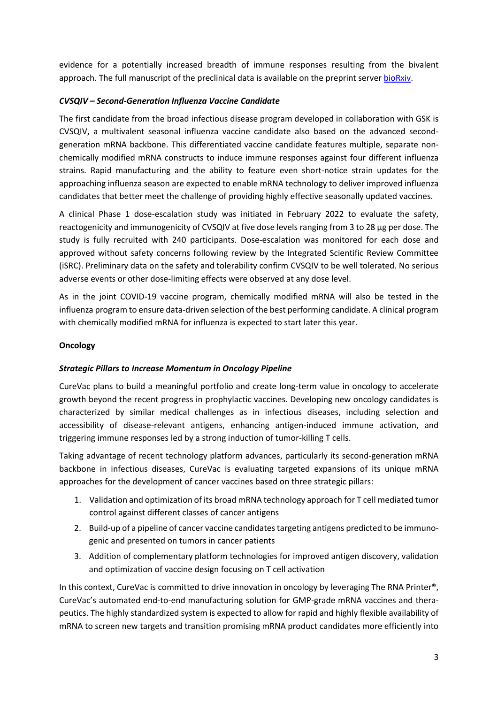evidence for a potentially increased breadth of immune responses resulting from the bivalent approach. The full manuscript of the preclinical data is available on the preprint server [bioRxiv.](https://www.biorxiv.org/content/10.1101/2022.04.20.485440v1.article-info)

# *CVSQIV – Second-Generation Influenza Vaccine Candidate*

The first candidate from the broad infectious disease program developed in collaboration with GSK is CVSQIV, a multivalent seasonal influenza vaccine candidate also based on the advanced secondgeneration mRNA backbone. This differentiated vaccine candidate features multiple, separate nonchemically modified mRNA constructs to induce immune responses against four different influenza strains. Rapid manufacturing and the ability to feature even short-notice strain updates for the approaching influenza season are expected to enable mRNA technology to deliver improved influenza candidates that better meet the challenge of providing highly effective seasonally updated vaccines.

A clinical Phase 1 dose-escalation study was initiated in February 2022 to evaluate the safety, reactogenicity and immunogenicity of CVSQIV at five dose levels ranging from 3 to 28 µg per dose. The study is fully recruited with 240 participants. Dose-escalation was monitored for each dose and approved without safety concerns following review by the Integrated Scientific Review Committee (iSRC). Preliminary data on the safety and tolerability confirm CVSQIV to be well tolerated. No serious adverse events or other dose-limiting effects were observed at any dose level.

As in the joint COVID-19 vaccine program, chemically modified mRNA will also be tested in the influenza program to ensure data-driven selection of the best performing candidate. A clinical program with chemically modified mRNA for influenza is expected to start later this year.

## **Oncology**

## *Strategic Pillars to Increase Momentum in Oncology Pipeline*

CureVac plans to build a meaningful portfolio and create long-term value in oncology to accelerate growth beyond the recent progress in prophylactic vaccines. Developing new oncology candidates is characterized by similar medical challenges as in infectious diseases, including selection and accessibility of disease-relevant antigens, enhancing antigen-induced immune activation, and triggering immune responses led by a strong induction of tumor-killing T cells.

Taking advantage of recent technology platform advances, particularly its second-generation mRNA backbone in infectious diseases, CureVac is evaluating targeted expansions of its unique mRNA approaches for the development of cancer vaccines based on three strategic pillars:

- 1. Validation and optimization of its broad mRNA technology approach for T cell mediated tumor control against different classes of cancer antigens
- 2. Build-up of a pipeline of cancer vaccine candidates targeting antigens predicted to be immunogenic and presented on tumors in cancer patients
- 3. Addition of complementary platform technologies for improved antigen discovery, validation and optimization of vaccine design focusing on T cell activation

In this context, CureVac is committed to drive innovation in oncology by leveraging The RNA Printer®, CureVac's automated end-to-end manufacturing solution for GMP-grade mRNA vaccines and therapeutics. The highly standardized system is expected to allow for rapid and highly flexible availability of mRNA to screen new targets and transition promising mRNA product candidates more efficiently into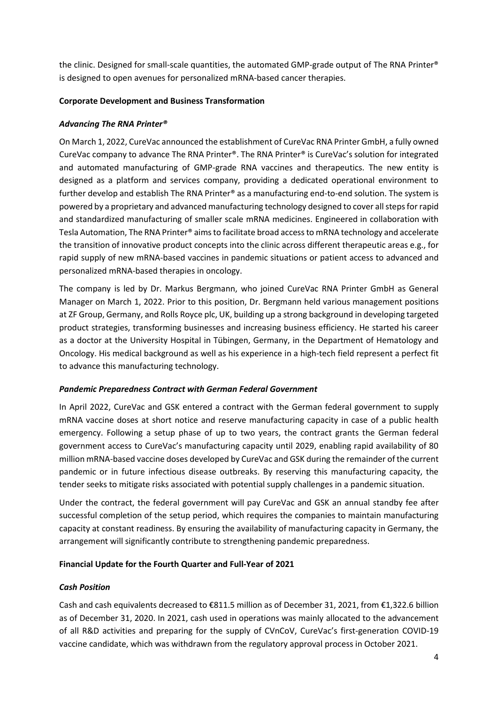the clinic. Designed for small-scale quantities, the automated GMP-grade output of The RNA Printer® is designed to open avenues for personalized mRNA-based cancer therapies.

## **Corporate Development and Business Transformation**

## *Advancing The RNA Printer®*

On March 1, 2022, CureVac announced the establishment of CureVac RNA Printer GmbH, a fully owned CureVac company to advance The RNA Printer®. The RNA Printer® is CureVac's solution for integrated and automated manufacturing of GMP-grade RNA vaccines and therapeutics. The new entity is designed as a platform and services company, providing a dedicated operational environment to further develop and establish The RNA Printer® as a manufacturing end-to-end solution. The system is powered by a proprietary and advanced manufacturing technology designed to cover allsteps for rapid and standardized manufacturing of smaller scale mRNA medicines. Engineered in collaboration with Tesla Automation, The RNA Printer® aimsto facilitate broad access to mRNA technology and accelerate the transition of innovative product concepts into the clinic across different therapeutic areas e.g., for rapid supply of new mRNA-based vaccines in pandemic situations or patient access to advanced and personalized mRNA-based therapies in oncology.

The company is led by Dr. Markus Bergmann, who joined CureVac RNA Printer GmbH as General Manager on March 1, 2022. Prior to this position, Dr. Bergmann held various management positions at ZF Group, Germany, and Rolls Royce plc, UK, building up a strong background in developing targeted product strategies, transforming businesses and increasing business efficiency. He started his career as a doctor at the University Hospital in Tübingen, Germany, in the Department of Hematology and Oncology. His medical background as well as his experience in a high-tech field represent a perfect fit to advance this manufacturing technology.

## *Pandemic Preparedness Contract with German Federal Government*

In April 2022, CureVac and GSK entered a contract with the German federal government to supply mRNA vaccine doses at short notice and reserve manufacturing capacity in case of a public health emergency. Following a setup phase of up to two years, the contract grants the German federal government access to CureVac's manufacturing capacity until 2029, enabling rapid availability of 80 million mRNA-based vaccine doses developed by CureVac and GSK during the remainder of the current pandemic or in future infectious disease outbreaks. By reserving this manufacturing capacity, the tender seeks to mitigate risks associated with potential supply challenges in a pandemic situation.

Under the contract, the federal government will pay CureVac and GSK an annual standby fee after successful completion of the setup period, which requires the companies to maintain manufacturing capacity at constant readiness. By ensuring the availability of manufacturing capacity in Germany, the arrangement will significantly contribute to strengthening pandemic preparedness.

# **Financial Update for the Fourth Quarter and Full-Year of 2021**

# *Cash Position*

Cash and cash equivalents decreased to €811.5 million as of December 31, 2021, from €1,322.6 billion as of December 31, 2020. In 2021, cash used in operations was mainly allocated to the advancement of all R&D activities and preparing for the supply of CVnCoV, CureVac's first-generation COVID-19 vaccine candidate, which was withdrawn from the regulatory approval process in October 2021.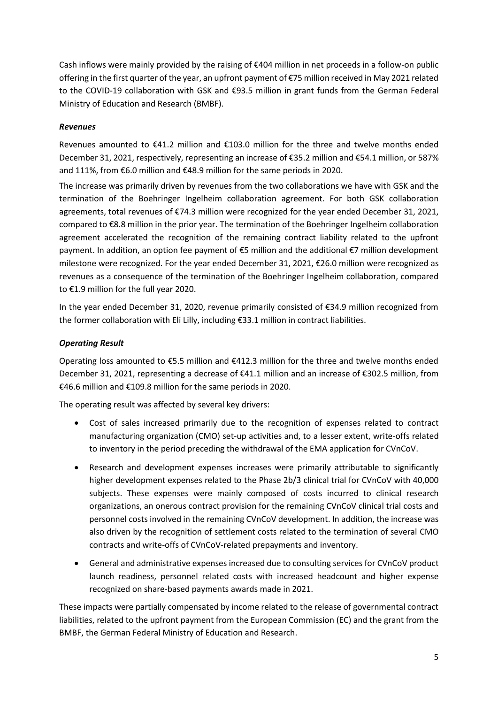Cash inflows were mainly provided by the raising of €404 million in net proceeds in a follow-on public offering in the first quarter of the year, an upfront payment of €75 million received in May 2021 related to the COVID-19 collaboration with GSK and €93.5 million in grant funds from the German Federal Ministry of Education and Research (BMBF).

## *Revenues*

Revenues amounted to €41.2 million and €103.0 million for the three and twelve months ended December 31, 2021, respectively, representing an increase of €35.2 million and €54.1 million, or 587% and 111%, from €6.0 million and €48.9 million for the same periods in 2020.

The increase was primarily driven by revenues from the two collaborations we have with GSK and the termination of the Boehringer Ingelheim collaboration agreement. For both GSK collaboration agreements, total revenues of €74.3 million were recognized for the year ended December 31, 2021, compared to €8.8 million in the prior year. The termination of the Boehringer Ingelheim collaboration agreement accelerated the recognition of the remaining contract liability related to the upfront payment. In addition, an option fee payment of €5 million and the additional €7 million development milestone were recognized. For the year ended December 31, 2021, €26.0 million were recognized as revenues as a consequence of the termination of the Boehringer Ingelheim collaboration, compared to €1.9 million for the full year 2020.

In the year ended December 31, 2020, revenue primarily consisted of €34.9 million recognized from the former collaboration with Eli Lilly, including €33.1 million in contract liabilities.

# *Operating Result*

Operating loss amounted to €5.5 million and €412.3 million for the three and twelve months ended December 31, 2021, representing a decrease of €41.1 million and an increase of €302.5 million, from €46.6 million and €109.8 million for the same periods in 2020.

The operating result was affected by several key drivers:

- Cost of sales increased primarily due to the recognition of expenses related to contract manufacturing organization (CMO) set-up activities and, to a lesser extent, write-offs related to inventory in the period preceding the withdrawal of the EMA application for CVnCoV.
- Research and development expenses increases were primarily attributable to significantly higher development expenses related to the Phase 2b/3 clinical trial for CVnCoV with 40,000 subjects. These expenses were mainly composed of costs incurred to clinical research organizations, an onerous contract provision for the remaining CVnCoV clinical trial costs and personnel costs involved in the remaining CVnCoV development. In addition, the increase was also driven by the recognition of settlement costs related to the termination of several CMO contracts and write-offs of CVnCoV-related prepayments and inventory.
- General and administrative expenses increased due to consulting services for CVnCoV product launch readiness, personnel related costs with increased headcount and higher expense recognized on share-based payments awards made in 2021.

These impacts were partially compensated by income related to the release of governmental contract liabilities, related to the upfront payment from the European Commission (EC) and the grant from the BMBF, the German Federal Ministry of Education and Research.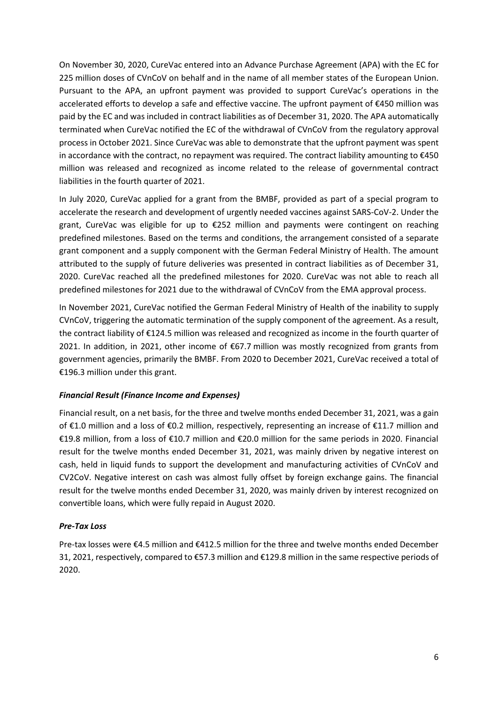On November 30, 2020, CureVac entered into an Advance Purchase Agreement (APA) with the EC for 225 million doses of CVnCoV on behalf and in the name of all member states of the European Union. Pursuant to the APA, an upfront payment was provided to support CureVac's operations in the accelerated efforts to develop a safe and effective vaccine. The upfront payment of €450 million was paid by the EC and was included in contract liabilities as of December 31, 2020. The APA automatically terminated when CureVac notified the EC of the withdrawal of CVnCoV from the regulatory approval process in October 2021. Since CureVac was able to demonstrate that the upfront payment was spent in accordance with the contract, no repayment was required. The contract liability amounting to €450 million was released and recognized as income related to the release of governmental contract liabilities in the fourth quarter of 2021.

In July 2020, CureVac applied for a grant from the BMBF, provided as part of a special program to accelerate the research and development of urgently needed vaccines against SARS-CoV-2. Under the grant, CureVac was eligible for up to €252 million and payments were contingent on reaching predefined milestones. Based on the terms and conditions, the arrangement consisted of a separate grant component and a supply component with the German Federal Ministry of Health. The amount attributed to the supply of future deliveries was presented in contract liabilities as of December 31, 2020. CureVac reached all the predefined milestones for 2020. CureVac was not able to reach all predefined milestones for 2021 due to the withdrawal of CVnCoV from the EMA approval process.

In November 2021, CureVac notified the German Federal Ministry of Health of the inability to supply CVnCoV, triggering the automatic termination of the supply component of the agreement. As a result, the contract liability of €124.5 million was released and recognized as income in the fourth quarter of 2021. In addition, in 2021, other income of  $\epsilon$ 67.7 million was mostly recognized from grants from government agencies, primarily the BMBF. From 2020 to December 2021, CureVac received a total of €196.3 million under this grant.

## *Financial Result (Finance Income and Expenses)*

Financial result, on a net basis, for the three and twelve months ended December 31, 2021, was a gain of €1.0 million and a loss of €0.2 million, respectively, representing an increase of €11.7 million and €19.8 million, from a loss of €10.7 million and €20.0 million for the same periods in 2020. Financial result for the twelve months ended December 31, 2021, was mainly driven by negative interest on cash, held in liquid funds to support the development and manufacturing activities of CVnCoV and CV2CoV. Negative interest on cash was almost fully offset by foreign exchange gains. The financial result for the twelve months ended December 31, 2020, was mainly driven by interest recognized on convertible loans, which were fully repaid in August 2020.

### *Pre-Tax Loss*

Pre-tax losses were €4.5 million and €412.5 million for the three and twelve months ended December 31, 2021, respectively, compared to €57.3 million and €129.8 million in the same respective periods of 2020.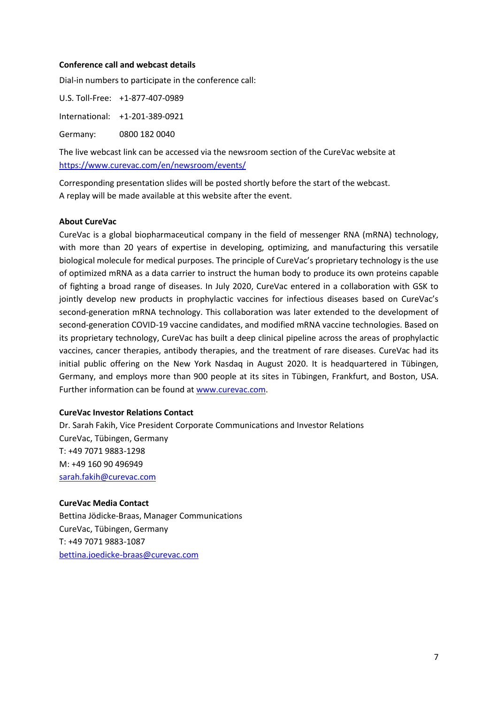#### **Conference call and webcast details**

Dial-in numbers to participate in the conference call:

U.S. Toll-Free: +1-877-407-0989 International: +1-201-389-0921 Germany: 0800 182 0040

The live webcast link can be accessed via the newsroom section of the CureVac website at <https://www.curevac.com/en/newsroom/events/>

Corresponding presentation slides will be posted shortly before the start of the webcast. A replay will be made available at this website after the event.

#### **About CureVac**

CureVac is a global biopharmaceutical company in the field of messenger RNA (mRNA) technology, with more than 20 years of expertise in developing, optimizing, and manufacturing this versatile biological molecule for medical purposes. The principle of CureVac's proprietary technology is the use of optimized mRNA as a data carrier to instruct the human body to produce its own proteins capable of fighting a broad range of diseases. In July 2020, CureVac entered in a collaboration with GSK to jointly develop new products in prophylactic vaccines for infectious diseases based on CureVac's second-generation mRNA technology. This collaboration was later extended to the development of second-generation COVID-19 vaccine candidates, and modified mRNA vaccine technologies. Based on its proprietary technology, CureVac has built a deep clinical pipeline across the areas of prophylactic vaccines, cancer therapies, antibody therapies, and the treatment of rare diseases. CureVac had its initial public offering on the New York Nasdaq in August 2020. It is headquartered in Tübingen, Germany, and employs more than 900 people at its sites in Tübingen, Frankfurt, and Boston, USA. Further information can be found at [www.curevac.com.](http://www.curevac.com/)

#### **CureVac Investor Relations Contact**

Dr. Sarah Fakih, Vice President Corporate Communications and Investor Relations CureVac, Tübingen, Germany T: +49 7071 9883-1298 M: +49 160 90 496949 [sarah.fakih@curevac.com](mailto:sarah.fakih@curevac.com)

#### **CureVac Media Contact**

Bettina Jödicke-Braas, Manager Communications CureVac, Tübingen, Germany T: +49 7071 9883-1087 [bettina.joedicke-braas@curevac.com](mailto:bettina.joedicke-braas@curevac.com)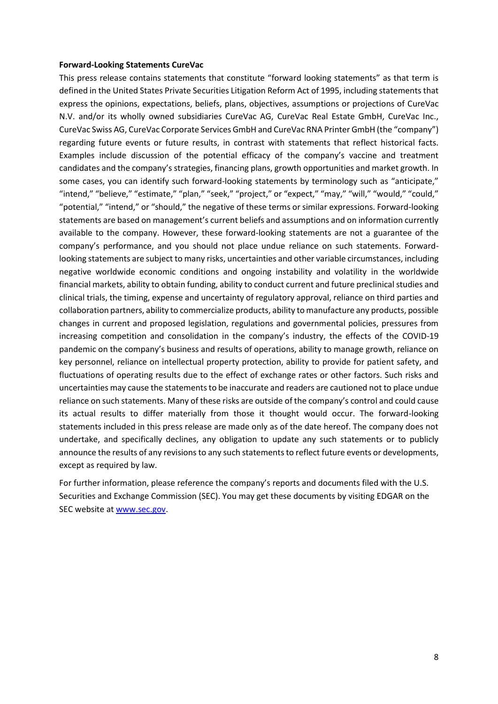#### **Forward-Looking Statements CureVac**

This press release contains statements that constitute "forward looking statements" as that term is defined in the United States Private Securities Litigation Reform Act of 1995, including statements that express the opinions, expectations, beliefs, plans, objectives, assumptions or projections of CureVac N.V. and/or its wholly owned subsidiaries CureVac AG, CureVac Real Estate GmbH, CureVac Inc., CureVac Swiss AG, CureVac Corporate Services GmbH and CureVac RNA Printer GmbH (the "company") regarding future events or future results, in contrast with statements that reflect historical facts. Examples include discussion of the potential efficacy of the company's vaccine and treatment candidates and the company's strategies, financing plans, growth opportunities and market growth. In some cases, you can identify such forward-looking statements by terminology such as "anticipate," "intend," "believe," "estimate," "plan," "seek," "project," or "expect," "may," "will," "would," "could," "potential," "intend," or "should," the negative of these terms or similar expressions. Forward-looking statements are based on management's current beliefs and assumptions and on information currently available to the company. However, these forward-looking statements are not a guarantee of the company's performance, and you should not place undue reliance on such statements. Forwardlooking statements are subject to many risks, uncertainties and other variable circumstances, including negative worldwide economic conditions and ongoing instability and volatility in the worldwide financial markets, ability to obtain funding, ability to conduct current and future preclinical studies and clinical trials, the timing, expense and uncertainty of regulatory approval, reliance on third parties and collaboration partners, ability to commercialize products, ability to manufacture any products, possible changes in current and proposed legislation, regulations and governmental policies, pressures from increasing competition and consolidation in the company's industry, the effects of the COVID-19 pandemic on the company's business and results of operations, ability to manage growth, reliance on key personnel, reliance on intellectual property protection, ability to provide for patient safety, and fluctuations of operating results due to the effect of exchange rates or other factors. Such risks and uncertainties may cause the statements to be inaccurate and readers are cautioned not to place undue reliance on such statements. Many of these risks are outside of the company's control and could cause its actual results to differ materially from those it thought would occur. The forward-looking statements included in this press release are made only as of the date hereof. The company does not undertake, and specifically declines, any obligation to update any such statements or to publicly announce the results of any revisions to any such statements to reflect future events or developments, except as required by law.

For further information, please reference the company's reports and documents filed with the U.S. Securities and Exchange Commission (SEC). You may get these documents by visiting EDGAR on the SEC website a[t www.sec.gov.](file://///curevac.local/docs/filestore/Communications/External%20Communication/Press%20Releases/Press%20Releases%202022/202203xx%20-%20German%20Tender/www.sec.gov)